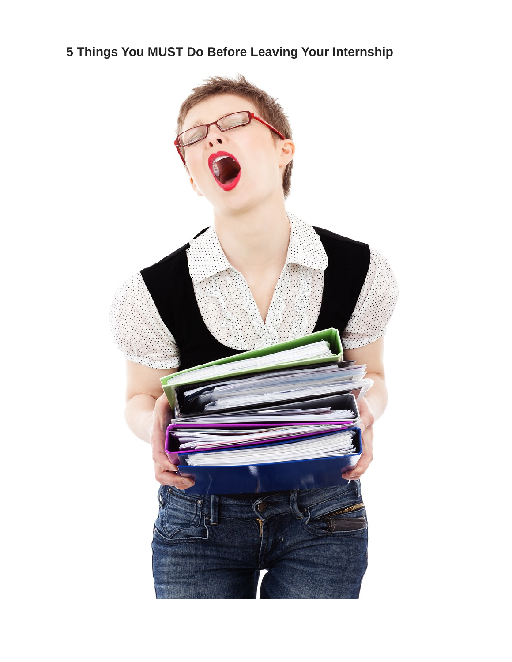# **5 Things You MUST Do Before Leaving Your Internship**

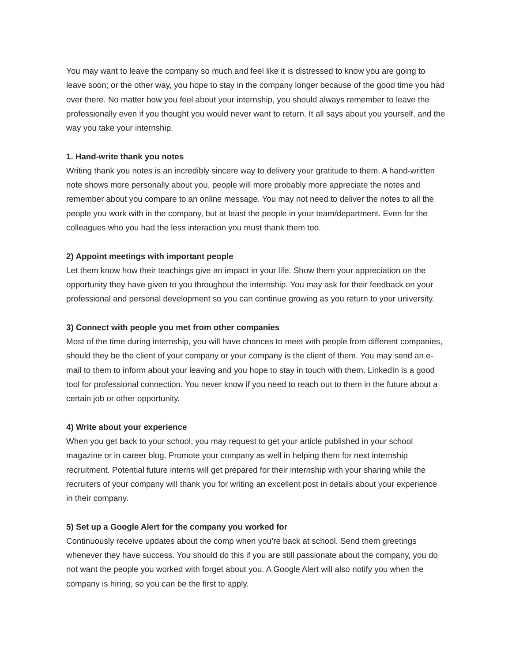You may want to leave the company so much and feel like it is distressed to know you are going to leave soon; or the other way, you hope to stay in the company longer because of the good time you had over there. No matter how you feel about your internship, you should always remember to leave the professionally even if you thought you would never want to return. It all says about you yourself, and the way you take your internship.

### **1. Hand-write thank you notes**

Writing thank you notes is an incredibly sincere way to delivery your gratitude to them. A hand-written note shows more personally about you, people will more probably more appreciate the notes and remember about you compare to an online message. You may not need to deliver the notes to all the people you work with in the company, but at least the people in your team/department. Even for the colleagues who you had the less interaction you must thank them too.

## **2) Appoint meetings with important people**

Let them know how their teachings give an impact in your life. Show them your appreciation on the opportunity they have given to you throughout the internship. You may ask for their feedback on your professional and personal development so you can continue growing as you return to your university.

### **3) Connect with people you met from other companies**

Most of the time during internship, you will have chances to meet with people from different companies, should they be the client of your company or your company is the client of them. You may send an email to them to inform about your leaving and you hope to stay in touch with them. LinkedIn is a good tool for professional connection. You never know if you need to reach out to them in the future about a certain job or other opportunity.

#### **4) Write about your experience**

When you get back to your school, you may request to get your article published in your school magazine or in career blog. Promote your company as well in helping them for next internship recruitment. Potential future interns will get prepared for their internship with your sharing while the recruiters of your company will thank you for writing an excellent post in details about your experience in their company.

## **5) Set up a Google Alert for the company you worked for**

Continuously receive updates about the comp when you're back at school. Send them greetings whenever they have success. You should do this if you are still passionate about the company, you do not want the people you worked with forget about you. A Google Alert will also notify you when the company is hiring, so you can be the first to apply.